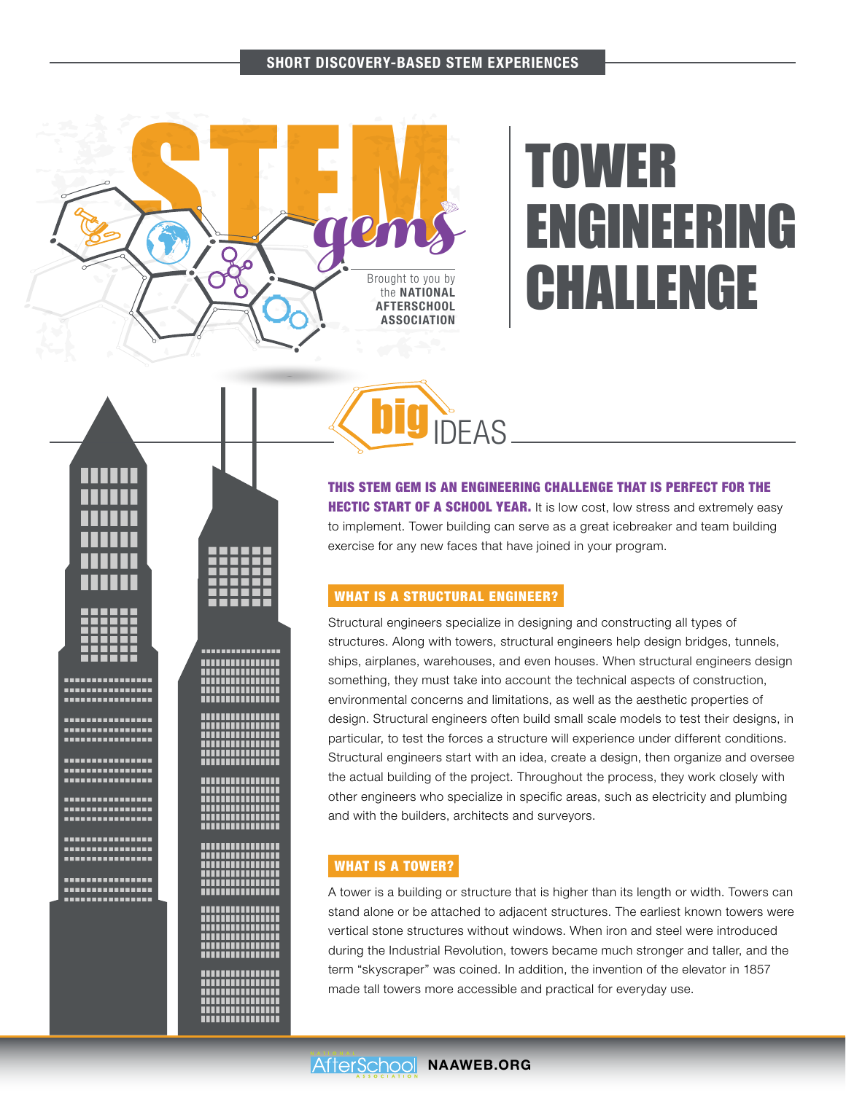#### SHORT DISCOVERY-BASED STEM EXPERIENCES



TTTTTTTTTTTTT*T* 

г

................ -----------------<br>----------------

<del>.................</del>

,,,,,,,,,,,,,,,,

;;;;;;;;;;;;;;;;;

,,,,,,,,,,,,,,,,

.................

,,,,,,,,,,,,,,,,, 

-----------------<br>-----------------

<del>................</del>

,,,,,,,,,,,,,,,,

-----------------<br>-----------------

,,,,,,,,,,,,,,,,<br>,,,,,,,,,,,,,,,, ;;;;;;;;;;;;;;;;;;; ,,,,,,,,,,,,,,,,, <u> :::::::::::::::</u> ,,,,,,,,,,,,,,,, **MUNICIPALITY** -----------------<br>-----------------

=======<br>:::::::

--------------------------------

................

--------------------------------

,,,,,,,,,,,,,,,,

----------------

----------------...............

----------------

,,,,,,,,,,,,,,,, ----------------

----------------

----------------

----------------

----------------,,,,,,,,,,,,,,,,

----------------

г г

# TOWER ENGINEERING CHALLENGE



THIS STEM GEM IS AN ENGINEERING CHALLENGE THAT IS PERFECT FOR THE **HECTIC START OF A SCHOOL YEAR.** It is low cost, low stress and extremely easy to implement. Tower building can serve as a great icebreaker and team building exercise for any new faces that have joined in your program.

# WHAT IS A STRUCTURAL ENGINEER?

Structural engineers specialize in designing and constructing all types of structures. Along with towers, structural engineers help design bridges, tunnels, ships, airplanes, warehouses, and even houses. When structural engineers design something, they must take into account the technical aspects of construction, environmental concerns and limitations, as well as the aesthetic properties of design. Structural engineers often build small scale models to test their designs, in particular, to test the forces a structure will experience under different conditions. Structural engineers start with an idea, create a design, then organize and oversee the actual building of the project. Throughout the process, they work closely with other engineers who specialize in specific areas, such as electricity and plumbing and with the builders, architects and surveyors.

# WHAT IS A TOWER?

A tower is a building or structure that is higher than its length or width. Towers can stand alone or be attached to adjacent structures. The earliest known towers were vertical stone structures without windows. When iron and steel were introduced during the Industrial Revolution, towers became much stronger and taller, and the term "skyscraper" was coined. In addition, the invention of the elevator in 1857 made tall towers more accessible and practical for everyday use.

AfterSchool NAAWEB.ORG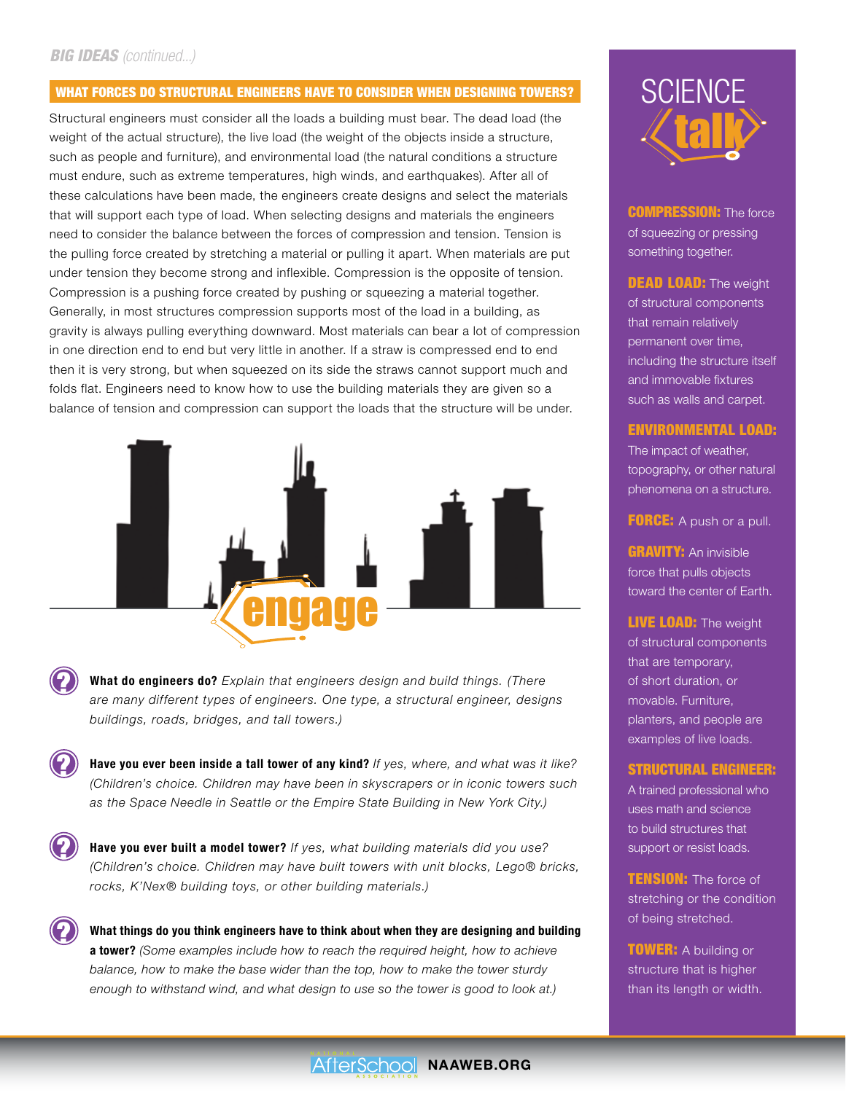# *BIG IDEAS (continued...)*

?

?

?

?

# WHAT FORCES DO STRUCTURAL ENGINEERS HAVE TO CONSIDER WHEN DESIGNING TOWERS?

Structural engineers must consider all the loads a building must bear. The dead load (the weight of the actual structure), the live load (the weight of the objects inside a structure, such as people and furniture), and environmental load (the natural conditions a structure must endure, such as extreme temperatures, high winds, and earthquakes). After all of these calculations have been made, the engineers create designs and select the materials that will support each type of load. When selecting designs and materials the engineers need to consider the balance between the forces of compression and tension. Tension is the pulling force created by stretching a material or pulling it apart. When materials are put under tension they become strong and inflexible. Compression is the opposite of tension. Compression is a pushing force created by pushing or squeezing a material together. Generally, in most structures compression supports most of the load in a building, as gravity is always pulling everything downward. Most materials can bear a lot of compression in one direction end to end but very little in another. If a straw is compressed end to end then it is very strong, but when squeezed on its side the straws cannot support much and folds flat. Engineers need to know how to use the building materials they are given so a balance of tension and compression can support the loads that the structure will be under.



What do engineers do? *Explain that engineers design and build things. (There are many different types of engineers. One type, a structural engineer, designs buildings, roads, bridges, and tall towers.)*

Have you ever been inside a tall tower of any kind? *If yes, where, and what was it like? (Children's choice. Children may have been in skyscrapers or in iconic towers such as the Space Needle in Seattle or the Empire State Building in New York City.)*

Have you ever built a model tower? *If yes, what building materials did you use? (Children's choice. Children may have built towers with unit blocks, Lego® bricks, rocks, K'Nex® building toys, or other building materials.)* 

What things do you think engineers have to think about when they are designing and building a tower? *(Some examples include how to reach the required height, how to achieve balance, how to make the base wider than the top, how to make the tower sturdy enough to withstand wind, and what design to use so the tower is good to look at.)*



**COMPRESSION:** The force of squeezing or pressing something together.

**DEAD LOAD:** The weight of structural components that remain relatively permanent over time, including the structure itself and immovable fixtures such as walls and carpet.

#### ENVIRONMENTAL LOAD:

The impact of weather, topography, or other natural phenomena on a structure.

**FORCE:** A push or a pull.

**GRAVITY: An invisible** force that pulls objects toward the center of Earth.

**LIVE LOAD:** The weight of structural components that are temporary, of short duration, or movable. Furniture, planters, and people are examples of live loads.

#### STRUCTURAL ENGINEER:

A trained professional who uses math and science to build structures that support or resist loads.

**TENSION:** The force of stretching or the condition of being stretched.

**TOWER: A building or** structure that is higher than its length or width.

# AfterSchool NAAWEB.ORG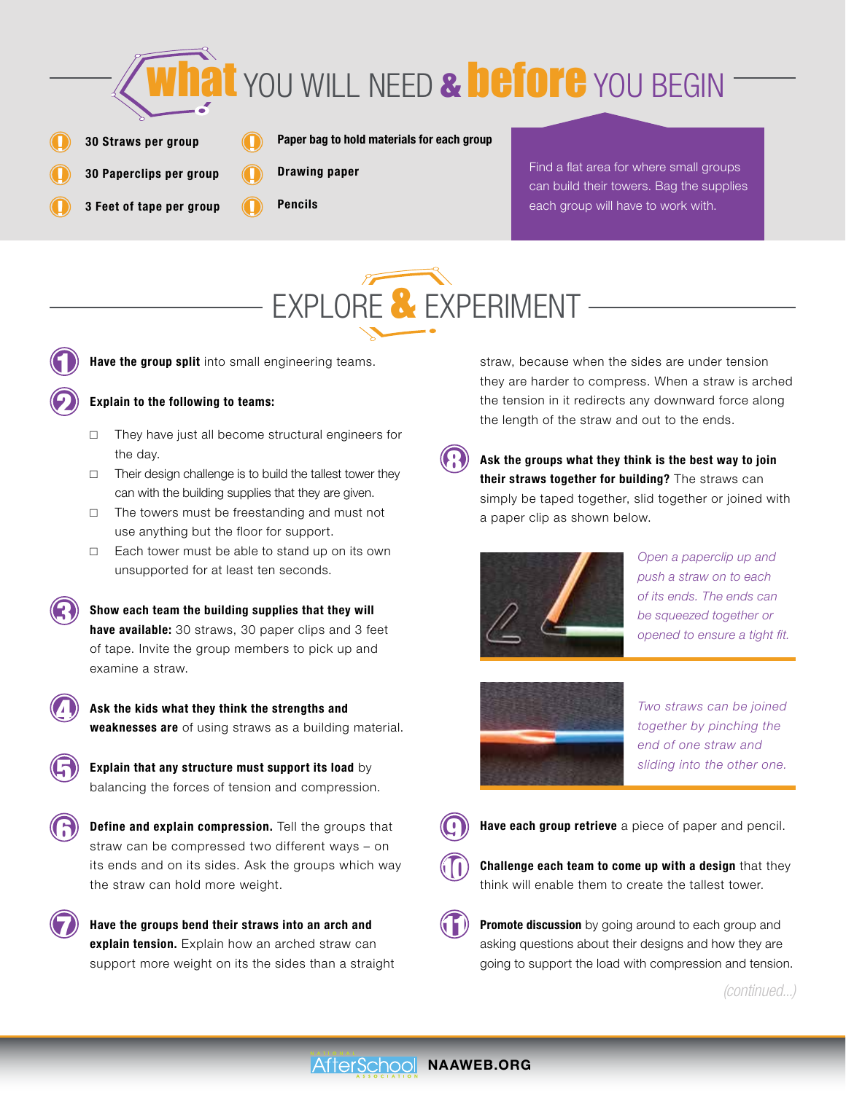

- 30 Straws per group  $\Box$
- $\Box$  $\Box$ 
	- 3 Feet of tape per group

30 Paperclips per group

- Paper bag to hold materials for each group
- Drawing paper
- Pencils

 $\Box$ 

 $\Box$ 

 $\mathbf{I}$ 

Find a flat area for where small groups can build their towers. Bag the supplies each group will have to work with.





2

4

6

3

Have the group split into small engineering teams.

# Explain to the following to teams:

- $\Box$  They have just all become structural engineers for the day.
- $\Box$  Their design challenge is to build the tallest tower they can with the building supplies that they are given.
- $\Box$  The towers must be freestanding and must not use anything but the floor for support.
- $\Box$  Each tower must be able to stand up on its own unsupported for at least ten seconds.

Show each team the building supplies that they will have available: 30 straws, 30 paper clips and 3 feet of tape. Invite the group members to pick up and examine a straw.

Ask the kids what they think the strengths and weaknesses are of using straws as a building material.



Define and explain compression. Tell the groups that straw can be compressed two different ways – on its ends and on its sides. Ask the groups which way the straw can hold more weight.

 $\sum$  Have the groups bend their straws into an arch and  $\binom{2}{1}$ explain tension. Explain how an arched straw can support more weight on its the sides than a straight

straw, because when the sides are under tension they are harder to compress. When a straw is arched the tension in it redirects any downward force along the length of the straw and out to the ends.



Ask the groups what they think is the best way to join their straws together for building? The straws can simply be taped together, slid together or joined with a paper clip as shown below.



*Open a paperclip up and push a straw on to each of its ends. The ends can be squeezed together or opened to ensure a tight fit.*



*Two straws can be joined together by pinching the end of one straw and* 



Have each group retrieve a piece of paper and pencil.

Challenge each team to come up with a design that they think will enable them to create the tallest tower.  $\textcircled{1}$ 

**Promote discussion** by going around to each group and asking questions about their designs and how they are going to support the load with compression and tension.

*(continued...)*